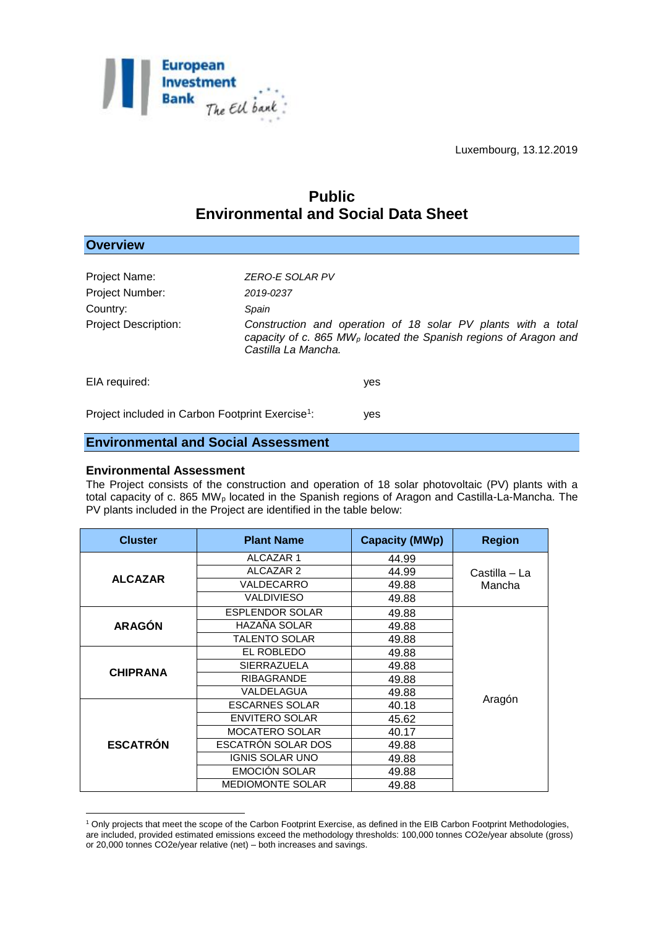

# **Public Environmental and Social Data Sheet**

| <b>Overview</b>             |                                                                                                                                                                      |
|-----------------------------|----------------------------------------------------------------------------------------------------------------------------------------------------------------------|
|                             |                                                                                                                                                                      |
| Project Name:               | ZERO-E SOLAR PV                                                                                                                                                      |
| Project Number:             | 2019-0237                                                                                                                                                            |
| Country:                    | Spain                                                                                                                                                                |
| <b>Project Description:</b> | Construction and operation of 18 solar PV plants with a total<br>capacity of c. 865 MW <sub>p</sub> located the Spanish regions of Aragon and<br>Castilla La Mancha. |
| EIA required:               | yes                                                                                                                                                                  |

Project included in Carbon Footprint Exercise<sup>1</sup>: : yes

## **Environmental and Social Assessment**

#### **Environmental Assessment**

<u>.</u>

The Project consists of the construction and operation of 18 solar photovoltaic (PV) plants with a total capacity of c. 865 MW<sup>p</sup> located in the Spanish regions of Aragon and Castilla-La-Mancha. The PV plants included in the Project are identified in the table below:

| <b>Cluster</b>  | <b>Plant Name</b>         | <b>Capacity (MWp)</b> | <b>Region</b>           |  |
|-----------------|---------------------------|-----------------------|-------------------------|--|
| <b>ALCAZAR</b>  | <b>ALCAZAR1</b>           | 44.99                 |                         |  |
|                 | <b>ALCAZAR 2</b>          | 44.99                 | Castilla – La<br>Mancha |  |
|                 | VALDECARRO                | 49.88                 |                         |  |
|                 | <b>VALDIVIESO</b>         | 49.88                 |                         |  |
| <b>ARAGÓN</b>   | <b>ESPLENDOR SOLAR</b>    | 49.88                 |                         |  |
|                 | HAZAÑA SOLAR              | 49.88                 |                         |  |
|                 | <b>TALENTO SOLAR</b>      | 49.88                 |                         |  |
| <b>CHIPRANA</b> | EL ROBLEDO                | 49.88                 |                         |  |
|                 | SIERRAZUELA               | 49.88                 |                         |  |
|                 | <b>RIBAGRANDE</b>         | 49.88                 |                         |  |
|                 | VALDELAGUA                | 49.88                 |                         |  |
| <b>ESCATRÓN</b> | <b>ESCARNES SOLAR</b>     | 40.18                 | Aragón                  |  |
|                 | <b>ENVITERO SOLAR</b>     | 45.62                 |                         |  |
|                 | <b>MOCATERO SOLAR</b>     | 40.17                 |                         |  |
|                 | <b>ESCATRON SOLAR DOS</b> | 49.88                 |                         |  |
|                 | <b>IGNIS SOLAR UNO</b>    | 49.88                 |                         |  |
|                 | <b>EMOCIÓN SOLAR</b>      | 49.88                 |                         |  |
|                 | <b>MEDIOMONTE SOLAR</b>   | 49.88                 |                         |  |

<sup>1</sup> Only projects that meet the scope of the Carbon Footprint Exercise, as defined in the EIB Carbon Footprint Methodologies, are included, provided estimated emissions exceed the methodology thresholds: 100,000 tonnes CO2e/year absolute (gross) or 20,000 tonnes CO2e/year relative (net) – both increases and savings.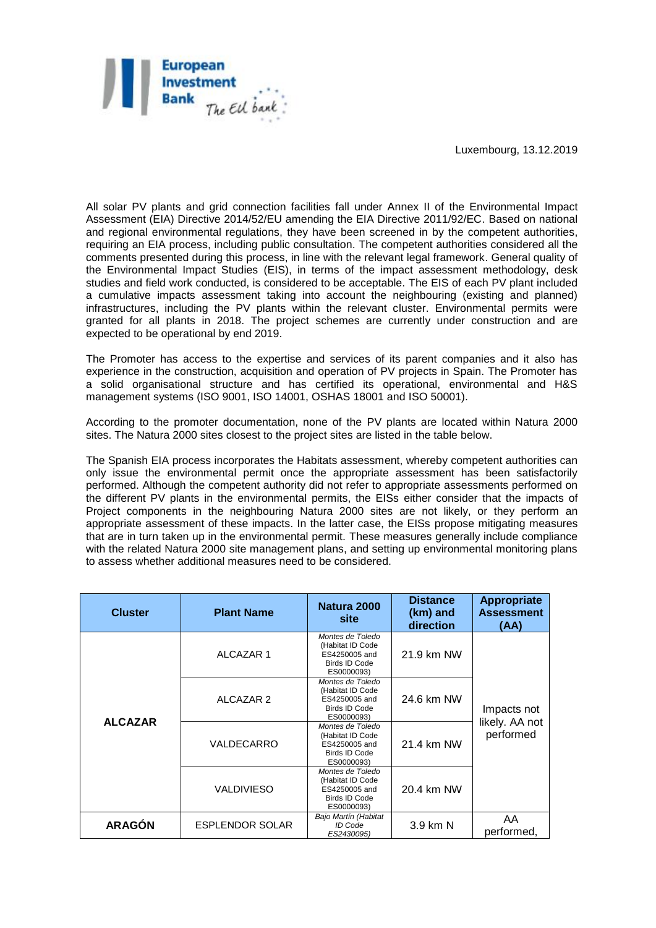

All solar PV plants and grid connection facilities fall under Annex II of the Environmental Impact Assessment (EIA) Directive 2014/52/EU amending the EIA Directive 2011/92/EC. Based on national and regional environmental regulations, they have been screened in by the competent authorities, requiring an EIA process, including public consultation. The competent authorities considered all the comments presented during this process, in line with the relevant legal framework. General quality of the Environmental Impact Studies (EIS), in terms of the impact assessment methodology, desk studies and field work conducted, is considered to be acceptable. The EIS of each PV plant included a cumulative impacts assessment taking into account the neighbouring (existing and planned) infrastructures, including the PV plants within the relevant cluster. Environmental permits were granted for all plants in 2018. The project schemes are currently under construction and are expected to be operational by end 2019.

The Promoter has access to the expertise and services of its parent companies and it also has experience in the construction, acquisition and operation of PV projects in Spain. The Promoter has a solid organisational structure and has certified its operational, environmental and H&S management systems (ISO 9001, ISO 14001, OSHAS 18001 and ISO 50001).

According to the promoter documentation, none of the PV plants are located within Natura 2000 sites. The Natura 2000 sites closest to the project sites are listed in the table below.

The Spanish EIA process incorporates the Habitats assessment, whereby competent authorities can only issue the environmental permit once the appropriate assessment has been satisfactorily performed. Although the competent authority did not refer to appropriate assessments performed on the different PV plants in the environmental permits, the EISs either consider that the impacts of Project components in the neighbouring Natura 2000 sites are not likely, or they perform an appropriate assessment of these impacts. In the latter case, the EISs propose mitigating measures that are in turn taken up in the environmental permit. These measures generally include compliance with the related Natura 2000 site management plans, and setting up environmental monitoring plans to assess whether additional measures need to be considered.

| <b>Cluster</b> | <b>Plant Name</b>      | Natura 2000<br>site                                                                  | <b>Distance</b><br>(km) and<br>direction | <b>Appropriate</b><br><b>Assessment</b><br>(AA) |
|----------------|------------------------|--------------------------------------------------------------------------------------|------------------------------------------|-------------------------------------------------|
| <b>ALCAZAR</b> | <b>ALCAZAR 1</b>       | Montes de Toledo<br>(Habitat ID Code<br>ES4250005 and<br>Birds ID Code<br>ES0000093) | 21.9 km NW                               | Impacts not<br>likely. AA not<br>performed      |
|                | ALCAZAR 2              | Montes de Toledo<br>(Habitat ID Code<br>ES4250005 and<br>Birds ID Code<br>ES0000093) | 24.6 km NW                               |                                                 |
|                | VALDECARRO             | Montes de Toledo<br>(Habitat ID Code<br>ES4250005 and<br>Birds ID Code<br>ES0000093) | 21.4 km NW                               |                                                 |
|                | <b>VALDIVIESO</b>      | Montes de Toledo<br>(Habitat ID Code<br>ES4250005 and<br>Birds ID Code<br>ES0000093) | 20.4 km NW                               |                                                 |
| <b>ARAGÓN</b>  | <b>ESPLENDOR SOLAR</b> | Bajo Martín (Habitat<br>ID Code<br>ES2430095)                                        | 3.9 km N                                 | AA.<br>performed,                               |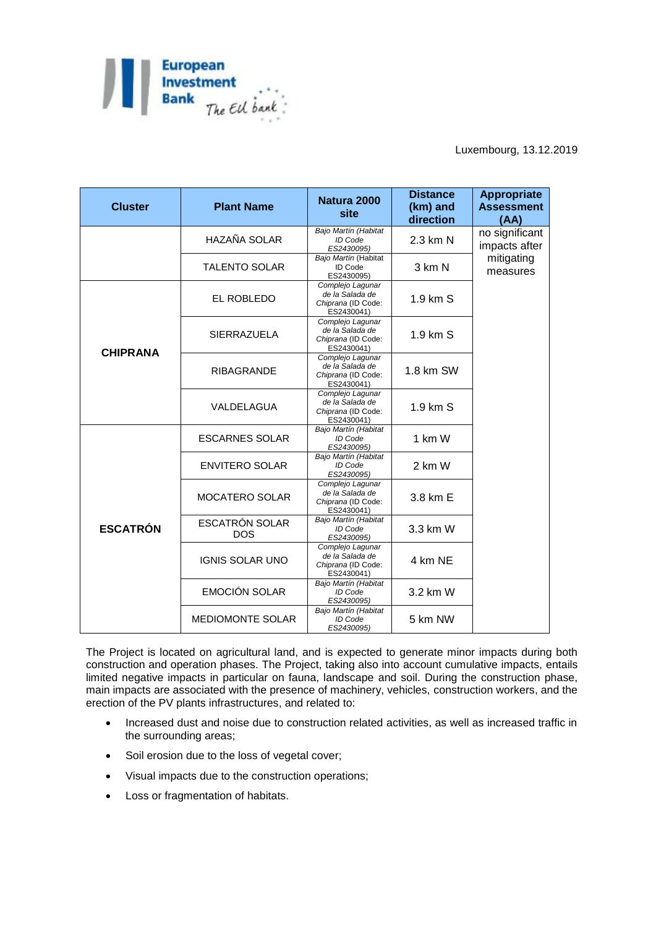

| <b>Cluster</b>  | <b>Plant Name</b>                   | Natura 2000<br>site                                                     | <b>Distance</b><br>(km) and<br>direction | <b>Appropriate</b><br><b>Assessment</b><br>(AA)           |
|-----------------|-------------------------------------|-------------------------------------------------------------------------|------------------------------------------|-----------------------------------------------------------|
|                 | HAZAÑA SOLAR                        | Bajo Martín (Habitat<br>ID Code<br>ES2430095)                           | 2.3 km N                                 | no significant<br>impacts after<br>mitigating<br>measures |
|                 | <b>TALENTO SOLAR</b>                | Bajo Martín (Habitat<br><b>ID Code</b><br>ES2430095)                    | 3 km N                                   |                                                           |
| <b>CHIPRANA</b> | EL ROBLEDO                          | Complejo Lagunar<br>de la Salada de<br>Chiprana (ID Code:<br>ES2430041) | 1.9 km S                                 |                                                           |
|                 | <b>SIERRAZUELA</b>                  | Complejo Lagunar<br>de la Salada de<br>Chiprana (ID Code:<br>ES2430041) | 1.9 km S                                 |                                                           |
|                 | <b>RIBAGRANDE</b>                   | Complejo Lagunar<br>de la Salada de<br>Chiprana (ID Code:<br>ES2430041) | 1.8 km SW                                |                                                           |
|                 | VALDELAGUA                          | Complejo Lagunar<br>de la Salada de<br>Chiprana (ID Code:<br>ES2430041) | 1.9 km S                                 |                                                           |
| <b>ESCATRÓN</b> | <b>ESCARNES SOLAR</b>               | Bajo Martín (Habitat<br>ID Code<br>ES2430095)                           | 1 km W                                   |                                                           |
|                 | <b>ENVITERO SOLAR</b>               | Bajo Martín (Habitat<br>ID Code<br>ES2430095)                           | 2 km W                                   |                                                           |
|                 | <b>MOCATERO SOLAR</b>               | Complejo Lagunar<br>de la Salada de<br>Chiprana (ID Code:<br>ES2430041) | 3.8 km E                                 |                                                           |
|                 | <b>ESCATRÓN SOLAR</b><br><b>DOS</b> | Bajo Martín (Habitat<br>ID Code<br>ES2430095)                           | 3.3 km W                                 |                                                           |
|                 | <b>IGNIS SOLAR UNO</b>              | Complejo Lagunar<br>de la Salada de<br>Chiprana (ID Code:<br>ES2430041) | 4 km NE                                  |                                                           |
|                 | <b>EMOCIÓN SOLAR</b>                | Bajo Martín (Habitat<br>ID Code<br>ES2430095)                           | 3.2 km W                                 |                                                           |
|                 | <b>MEDIOMONTE SOLAR</b>             | Bajo Martín (Habitat<br>ID Code<br>ES2430095)                           | 5 km NW                                  |                                                           |

The Project is located on agricultural land, and is expected to generate minor impacts during both construction and operation phases. The Project, taking also into account cumulative impacts, entails limited negative impacts in particular on fauna, landscape and soil. During the construction phase, main impacts are associated with the presence of machinery, vehicles, construction workers, and the erection of the PV plants infrastructures, and related to:

- Increased dust and noise due to construction related activities, as well as increased traffic in the surrounding areas;
- Soil erosion due to the loss of vegetal cover;
- Visual impacts due to the construction operations;
- Loss or fragmentation of habitats.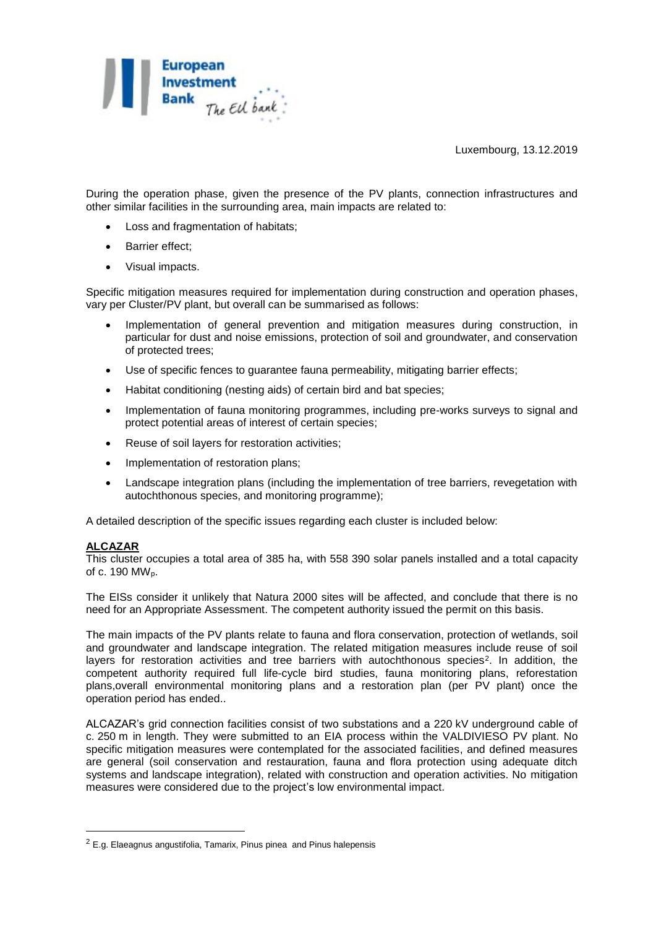

During the operation phase, given the presence of the PV plants, connection infrastructures and other similar facilities in the surrounding area, main impacts are related to:

- Loss and fragmentation of habitats;
- Barrier effect;
- Visual impacts.

Specific mitigation measures required for implementation during construction and operation phases, vary per Cluster/PV plant, but overall can be summarised as follows:

- Implementation of general prevention and mitigation measures during construction, in particular for dust and noise emissions, protection of soil and groundwater, and conservation of protected trees;
- Use of specific fences to guarantee fauna permeability, mitigating barrier effects;
- Habitat conditioning (nesting aids) of certain bird and bat species;
- Implementation of fauna monitoring programmes, including pre-works surveys to signal and protect potential areas of interest of certain species;
- Reuse of soil layers for restoration activities;
- Implementation of restoration plans;
- Landscape integration plans (including the implementation of tree barriers, revegetation with autochthonous species, and monitoring programme);

A detailed description of the specific issues regarding each cluster is included below:

#### **ALCAZAR**

1

This cluster occupies a total area of 385 ha, with 558 390 solar panels installed and a total capacity of c. 190 MWp.

The EISs consider it unlikely that Natura 2000 sites will be affected, and conclude that there is no need for an Appropriate Assessment. The competent authority issued the permit on this basis.

The main impacts of the PV plants relate to fauna and flora conservation, protection of wetlands, soil and groundwater and landscape integration. The related mitigation measures include reuse of soil layers for restoration activities and tree barriers with autochthonous species<sup>2</sup>. In addition, the competent authority required full life-cycle bird studies, fauna monitoring plans, reforestation plans,overall environmental monitoring plans and a restoration plan (per PV plant) once the operation period has ended..

ALCAZAR's grid connection facilities consist of two substations and a 220 kV underground cable of c. 250 m in length. They were submitted to an EIA process within the VALDIVIESO PV plant. No specific mitigation measures were contemplated for the associated facilities, and defined measures are general (soil conservation and restauration, fauna and flora protection using adequate ditch systems and landscape integration), related with construction and operation activities. No mitigation measures were considered due to the project's low environmental impact.

 $2$  E.g. Elaeagnus angustifolia, Tamarix, Pinus pinea and Pinus halepensis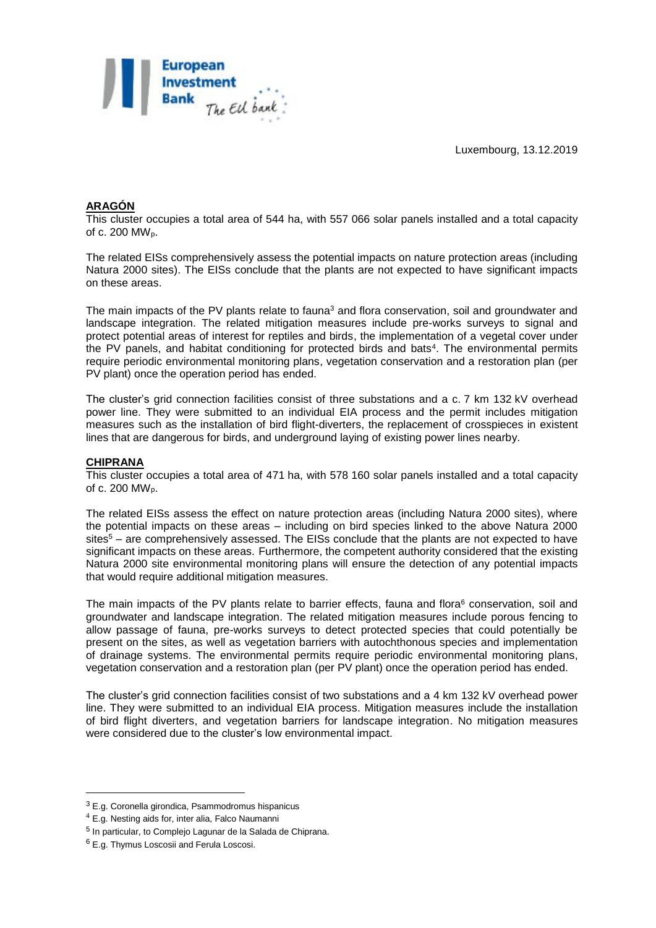

## **ARAGÓN**

This cluster occupies a total area of 544 ha, with 557 066 solar panels installed and a total capacity of c. 200 MWp.

The related EISs comprehensively assess the potential impacts on nature protection areas (including Natura 2000 sites). The EISs conclude that the plants are not expected to have significant impacts on these areas.

The main impacts of the PV plants relate to fauna<sup>3</sup> and flora conservation, soil and groundwater and landscape integration. The related mitigation measures include pre-works surveys to signal and protect potential areas of interest for reptiles and birds, the implementation of a vegetal cover under the PV panels, and habitat conditioning for protected birds and bats<sup>4</sup>. The environmental permits require periodic environmental monitoring plans, vegetation conservation and a restoration plan (per PV plant) once the operation period has ended.

The cluster's grid connection facilities consist of three substations and a c. 7 km 132 kV overhead power line. They were submitted to an individual EIA process and the permit includes mitigation measures such as the installation of bird flight-diverters, the replacement of crosspieces in existent lines that are dangerous for birds, and underground laying of existing power lines nearby.

#### **CHIPRANA**

This cluster occupies a total area of 471 ha, with 578 160 solar panels installed and a total capacity of c. 200 MWp.

The related EISs assess the effect on nature protection areas (including Natura 2000 sites), where the potential impacts on these areas – including on bird species linked to the above Natura 2000 sites<sup>5</sup> – are comprehensively assessed. The EISs conclude that the plants are not expected to have significant impacts on these areas. Furthermore, the competent authority considered that the existing Natura 2000 site environmental monitoring plans will ensure the detection of any potential impacts that would require additional mitigation measures.

The main impacts of the PV plants relate to barrier effects, fauna and flora<sup>6</sup> conservation, soil and groundwater and landscape integration. The related mitigation measures include porous fencing to allow passage of fauna, pre-works surveys to detect protected species that could potentially be present on the sites, as well as vegetation barriers with autochthonous species and implementation of drainage systems. The environmental permits require periodic environmental monitoring plans, vegetation conservation and a restoration plan (per PV plant) once the operation period has ended.

The cluster's grid connection facilities consist of two substations and a 4 km 132 kV overhead power line. They were submitted to an individual EIA process. Mitigation measures include the installation of bird flight diverters, and vegetation barriers for landscape integration. No mitigation measures were considered due to the cluster's low environmental impact.

<u>.</u>

<sup>3</sup> E.g. Coronella girondica, Psammodromus hispanicus

<sup>4</sup> E.g. Nesting aids for, inter alia, Falco Naumanni

<sup>&</sup>lt;sup>5</sup> In particular, to Complejo Lagunar de la Salada de Chiprana.

<sup>6</sup> E.g. Thymus Loscosii and Ferula Loscosi.